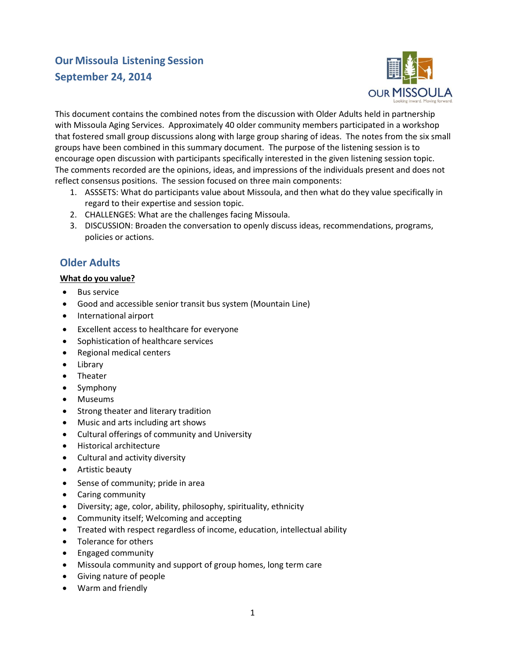# **Our Missoula Listening Session September 24, 2014**



This document contains the combined notes from the discussion with Older Adults held in partnership with Missoula Aging Services. Approximately 40 older community members participated in a workshop that fostered small group discussions along with large group sharing of ideas. The notes from the six small groups have been combined in this summary document. The purpose of the listening session is to encourage open discussion with participants specifically interested in the given listening session topic. The comments recorded are the opinions, ideas, and impressions of the individuals present and does not reflect consensus positions. The session focused on three main components:

- 1. ASSSETS: What do participants value about Missoula, and then what do they value specifically in regard to their expertise and session topic.
- 2. CHALLENGES: What are the challenges facing Missoula.
- 3. DISCUSSION: Broaden the conversation to openly discuss ideas, recommendations, programs, policies or actions.

## **Older Adults**

### **What do you value?**

- Bus service
- Good and accessible senior transit bus system (Mountain Line)
- **•** International airport
- Excellent access to healthcare for everyone
- Sophistication of healthcare services
- Regional medical centers
- Library
- Theater
- Symphony
- Museums
- Strong theater and literary tradition
- Music and arts including art shows
- Cultural offerings of community and University
- Historical architecture
- Cultural and activity diversity
- Artistic beauty
- Sense of community; pride in area
- Caring community
- Diversity; age, color, ability, philosophy, spirituality, ethnicity
- Community itself; Welcoming and accepting
- Treated with respect regardless of income, education, intellectual ability
- Tolerance for others
- Engaged community
- Missoula community and support of group homes, long term care
- Giving nature of people
- Warm and friendly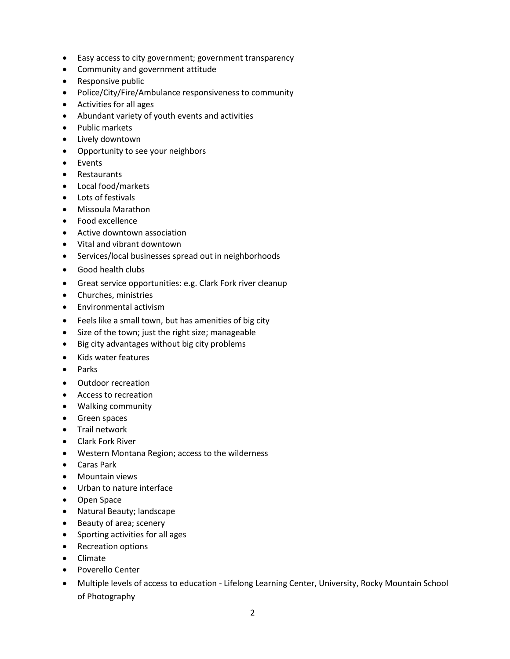- Easy access to city government; government transparency
- Community and government attitude
- Responsive public
- Police/City/Fire/Ambulance responsiveness to community
- Activities for all ages
- Abundant variety of youth events and activities
- Public markets
- Lively downtown
- Opportunity to see your neighbors
- Events
- Restaurants
- Local food/markets
- Lots of festivals
- Missoula Marathon
- Food excellence
- Active downtown association
- Vital and vibrant downtown
- Services/local businesses spread out in neighborhoods
- Good health clubs
- Great service opportunities: e.g. Clark Fork river cleanup
- Churches, ministries
- Environmental activism
- Feels like a small town, but has amenities of big city
- Size of the town; just the right size; manageable
- Big city advantages without big city problems
- Kids water features
- Parks
- Outdoor recreation
- Access to recreation
- Walking community
- **•** Green spaces
- **•** Trail network
- Clark Fork River
- Western Montana Region; access to the wilderness
- Caras Park
- Mountain views
- Urban to nature interface
- Open Space
- Natural Beauty; landscape
- Beauty of area; scenery
- Sporting activities for all ages
- Recreation options
- Climate
- Poverello Center
- Multiple levels of access to education Lifelong Learning Center, University, Rocky Mountain School of Photography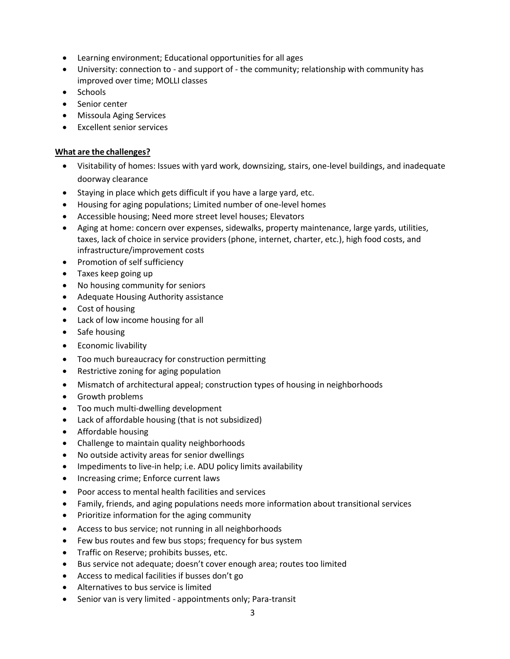- Learning environment; Educational opportunities for all ages
- University: connection to and support of the community; relationship with community has improved over time; MOLLI classes
- Schools
- Senior center
- Missoula Aging Services
- Excellent senior services

#### **What are the challenges?**

- Visitability of homes: Issues with yard work, downsizing, stairs, one-level buildings, and inadequate doorway clearance
- Staying in place which gets difficult if you have a large yard, etc.
- Housing for aging populations; Limited number of one-level homes
- Accessible housing; Need more street level houses; Elevators
- Aging at home: concern over expenses, sidewalks, property maintenance, large yards, utilities, taxes, lack of choice in service providers (phone, internet, charter, etc.), high food costs, and infrastructure/improvement costs
- Promotion of self sufficiency
- Taxes keep going up
- No housing community for seniors
- Adequate Housing Authority assistance
- Cost of housing
- Lack of low income housing for all
- Safe housing
- **•** Economic livability
- Too much bureaucracy for construction permitting
- Restrictive zoning for aging population
- Mismatch of architectural appeal; construction types of housing in neighborhoods
- Growth problems
- Too much multi-dwelling development
- Lack of affordable housing (that is not subsidized)
- Affordable housing
- Challenge to maintain quality neighborhoods
- No outside activity areas for senior dwellings
- Impediments to live-in help; i.e. ADU policy limits availability
- Increasing crime; Enforce current laws
- Poor access to mental health facilities and services
- Family, friends, and aging populations needs more information about transitional services
- Prioritize information for the aging community
- Access to bus service; not running in all neighborhoods
- Few bus routes and few bus stops; frequency for bus system
- **•** Traffic on Reserve; prohibits busses, etc.
- Bus service not adequate; doesn't cover enough area; routes too limited
- Access to medical facilities if busses don't go
- Alternatives to bus service is limited
- Senior van is very limited appointments only; Para-transit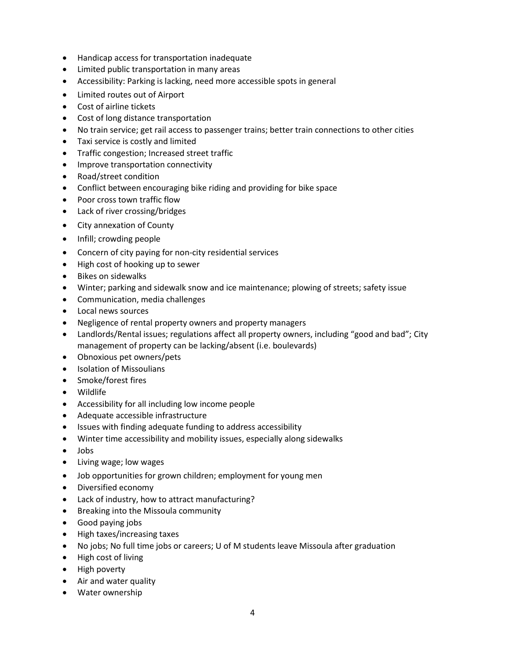- Handicap access for transportation inadequate
- Limited public transportation in many areas
- Accessibility: Parking is lacking, need more accessible spots in general
- Limited routes out of Airport
- Cost of airline tickets
- Cost of long distance transportation
- No train service; get rail access to passenger trains; better train connections to other cities
- Taxi service is costly and limited
- Traffic congestion; Increased street traffic
- Improve transportation connectivity
- Road/street condition
- Conflict between encouraging bike riding and providing for bike space
- Poor cross town traffic flow
- Lack of river crossing/bridges
- City annexation of County
- Infill; crowding people
- Concern of city paying for non-city residential services
- High cost of hooking up to sewer
- Bikes on sidewalks
- Winter; parking and sidewalk snow and ice maintenance; plowing of streets; safety issue
- Communication, media challenges
- Local news sources
- Negligence of rental property owners and property managers
- Landlords/Rental issues; regulations affect all property owners, including "good and bad"; City management of property can be lacking/absent (i.e. boulevards)
- Obnoxious pet owners/pets
- Isolation of Missoulians
- Smoke/forest fires
- Wildlife
- Accessibility for all including low income people
- Adequate accessible infrastructure
- Issues with finding adequate funding to address accessibility
- Winter time accessibility and mobility issues, especially along sidewalks
- Jobs
- Living wage; low wages
- Job opportunities for grown children; employment for young men
- Diversified economy
- Lack of industry, how to attract manufacturing?
- Breaking into the Missoula community
- Good paying jobs
- High taxes/increasing taxes
- No jobs; No full time jobs or careers; U of M students leave Missoula after graduation
- High cost of living
- High poverty
- Air and water quality
- Water ownership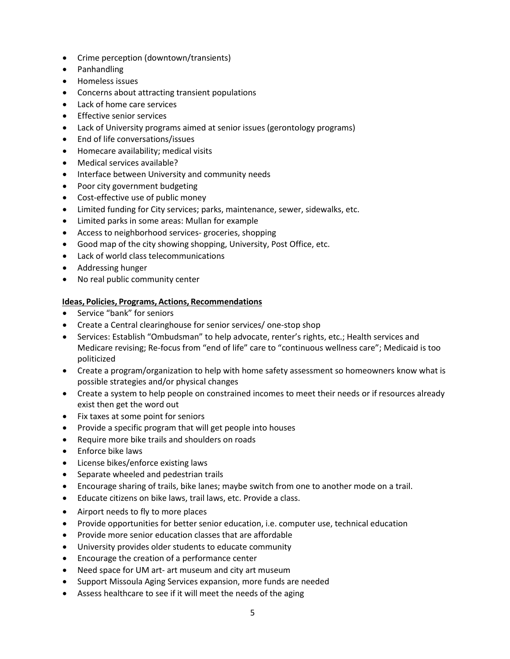- Crime perception (downtown/transients)
- Panhandling
- Homeless issues
- Concerns about attracting transient populations
- Lack of home care services
- **•** Effective senior services
- Lack of University programs aimed at senior issues (gerontology programs)
- End of life conversations/issues
- Homecare availability; medical visits
- Medical services available?
- Interface between University and community needs
- Poor city government budgeting
- Cost-effective use of public money
- Limited funding for City services; parks, maintenance, sewer, sidewalks, etc.
- Limited parks in some areas: Mullan for example
- Access to neighborhood services- groceries, shopping
- Good map of the city showing shopping, University, Post Office, etc.
- Lack of world class telecommunications
- Addressing hunger
- No real public community center

#### **Ideas, Policies, Programs, Actions, Recommendations**

- Service "bank" for seniors
- Create a Central clearinghouse for senior services/ one-stop shop
- Services: Establish "Ombudsman" to help advocate, renter's rights, etc.; Health services and Medicare revising; Re-focus from "end of life" care to "continuous wellness care"; Medicaid is too politicized
- Create a program/organization to help with home safety assessment so homeowners know what is possible strategies and/or physical changes
- Create a system to help people on constrained incomes to meet their needs or if resources already exist then get the word out
- Fix taxes at some point for seniors
- Provide a specific program that will get people into houses
- Require more bike trails and shoulders on roads
- Enforce bike laws
- License bikes/enforce existing laws
- Separate wheeled and pedestrian trails
- Encourage sharing of trails, bike lanes; maybe switch from one to another mode on a trail.
- Educate citizens on bike laws, trail laws, etc. Provide a class.
- Airport needs to fly to more places
- Provide opportunities for better senior education, i.e. computer use, technical education
- Provide more senior education classes that are affordable
- University provides older students to educate community
- Encourage the creation of a performance center
- Need space for UM art- art museum and city art museum
- Support Missoula Aging Services expansion, more funds are needed
- Assess healthcare to see if it will meet the needs of the aging